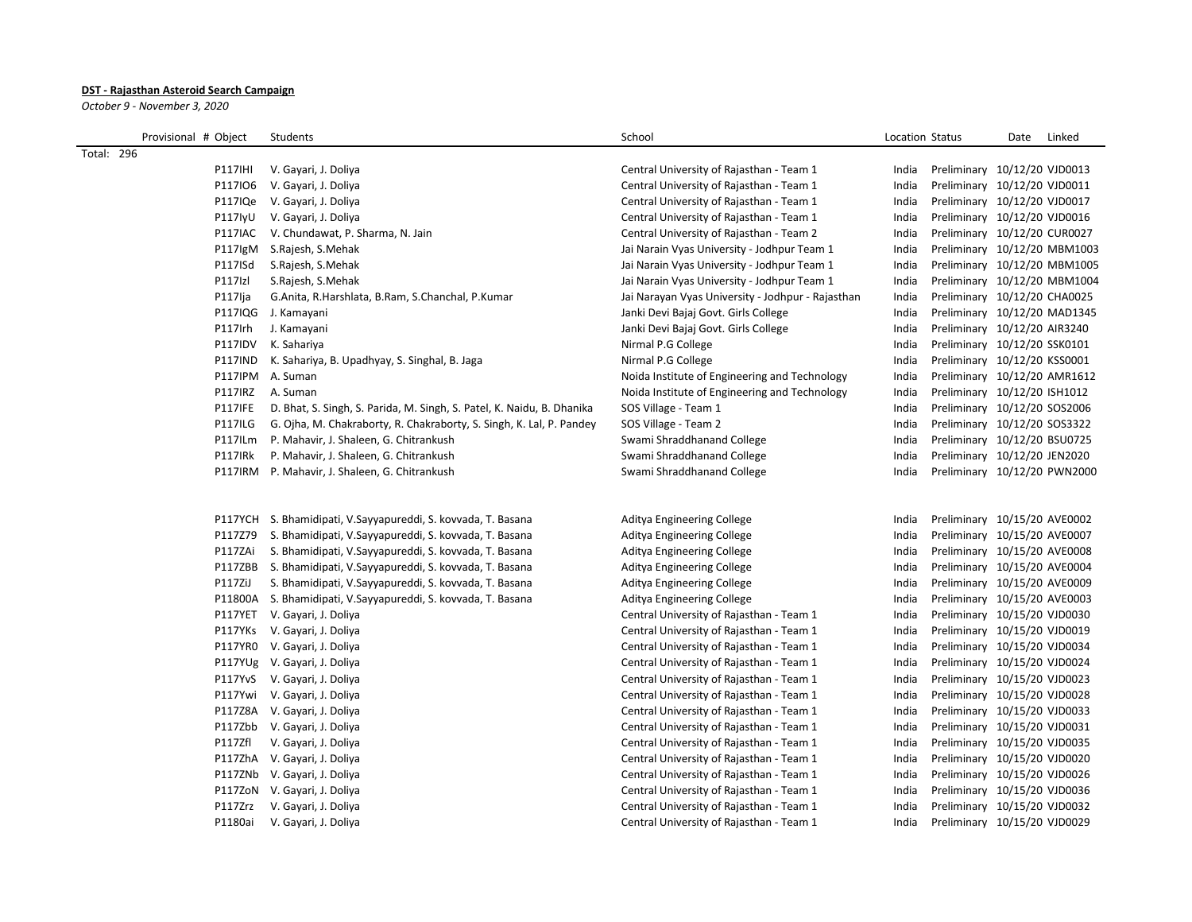## **DST - Rajasthan Asteroid Search Campaign**

*October 9 - November 3, 2020*

| Provisional # Object | Students                                                               | School                                            | Location Status |                              | Date | Linked |
|----------------------|------------------------------------------------------------------------|---------------------------------------------------|-----------------|------------------------------|------|--------|
| Total: 296           |                                                                        |                                                   |                 |                              |      |        |
| <b>P117IHI</b>       | V. Gayari, J. Doliya                                                   | Central University of Rajasthan - Team 1          | India           | Preliminary 10/12/20 VJD0013 |      |        |
| P117IO6              | V. Gayari, J. Doliya                                                   | Central University of Rajasthan - Team 1          | India           | Preliminary 10/12/20 VJD0011 |      |        |
| P117IQe              | V. Gayari, J. Doliya                                                   | Central University of Rajasthan - Team 1          | India           | Preliminary 10/12/20 VJD0017 |      |        |
| P117lyU              | V. Gayari, J. Doliya                                                   | Central University of Rajasthan - Team 1          | India           | Preliminary 10/12/20 VJD0016 |      |        |
| P117IAC              | V. Chundawat, P. Sharma, N. Jain                                       | Central University of Rajasthan - Team 2          | India           | Preliminary 10/12/20 CUR0027 |      |        |
| P117lgM              | S.Rajesh, S.Mehak                                                      | Jai Narain Vyas University - Jodhpur Team 1       | India           | Preliminary 10/12/20 MBM1003 |      |        |
| P117ISd              | S. Rajesh, S. Mehak                                                    | Jai Narain Vyas University - Jodhpur Team 1       | India           | Preliminary 10/12/20 MBM1005 |      |        |
| P117Izl              | S. Rajesh, S. Mehak                                                    | Jai Narain Vyas University - Jodhpur Team 1       | India           | Preliminary 10/12/20 MBM1004 |      |        |
| P117lja              | G.Anita, R.Harshlata, B.Ram, S.Chanchal, P.Kumar                       | Jai Narayan Vyas University - Jodhpur - Rajasthan | India           | Preliminary 10/12/20 CHA0025 |      |        |
|                      | P117IQG J. Kamayani                                                    | Janki Devi Bajaj Govt. Girls College              | India           | Preliminary 10/12/20 MAD1345 |      |        |
| P117Irh              | J. Kamayani                                                            | Janki Devi Bajaj Govt. Girls College              | India           | Preliminary 10/12/20 AIR3240 |      |        |
| P117IDV              | K. Sahariya                                                            | Nirmal P.G College                                | India           | Preliminary 10/12/20 SSK0101 |      |        |
| P117IND              | K. Sahariya, B. Upadhyay, S. Singhal, B. Jaga                          | Nirmal P.G College                                | India           | Preliminary 10/12/20 KSS0001 |      |        |
|                      | P117IPM A. Suman                                                       | Noida Institute of Engineering and Technology     | India           | Preliminary 10/12/20 AMR1612 |      |        |
| P117IRZ              | A. Suman                                                               | Noida Institute of Engineering and Technology     | India           | Preliminary 10/12/20 ISH1012 |      |        |
| <b>P117IFE</b>       | D. Bhat, S. Singh, S. Parida, M. Singh, S. Patel, K. Naidu, B. Dhanika | SOS Village - Team 1                              | India           | Preliminary 10/12/20 SOS2006 |      |        |
| <b>P117ILG</b>       | G. Ojha, M. Chakraborty, R. Chakraborty, S. Singh, K. Lal, P. Pandey   | SOS Village - Team 2                              | India           | Preliminary 10/12/20 SOS3322 |      |        |
| <b>P117ILm</b>       | P. Mahavir, J. Shaleen, G. Chitrankush                                 | Swami Shraddhanand College                        | India           | Preliminary 10/12/20 BSU0725 |      |        |
| P117IRk              | P. Mahavir, J. Shaleen, G. Chitrankush                                 | Swami Shraddhanand College                        | India           | Preliminary 10/12/20 JEN2020 |      |        |
|                      | P117IRM P. Mahavir, J. Shaleen, G. Chitrankush                         | Swami Shraddhanand College                        | India           | Preliminary 10/12/20 PWN2000 |      |        |
|                      |                                                                        |                                                   |                 |                              |      |        |
|                      |                                                                        |                                                   |                 |                              |      |        |
|                      | P117YCH S. Bhamidipati, V. Sayyapureddi, S. kovvada, T. Basana         | Aditya Engineering College                        | India           | Preliminary 10/15/20 AVE0002 |      |        |
| P117Z79              | S. Bhamidipati, V.Sayyapureddi, S. kovvada, T. Basana                  | Aditya Engineering College                        | India           | Preliminary 10/15/20 AVE0007 |      |        |
| P117ZAi              | S. Bhamidipati, V.Sayyapureddi, S. kovvada, T. Basana                  | Aditya Engineering College                        | India           | Preliminary 10/15/20 AVE0008 |      |        |
| P117ZBB              | S. Bhamidipati, V.Sayyapureddi, S. kovvada, T. Basana                  | Aditya Engineering College                        | India           | Preliminary 10/15/20 AVE0004 |      |        |
| <b>P117ZiJ</b>       | S. Bhamidipati, V.Sayyapureddi, S. kovvada, T. Basana                  | Aditya Engineering College                        | India           | Preliminary 10/15/20 AVE0009 |      |        |
| P11800A              | S. Bhamidipati, V.Sayyapureddi, S. kovvada, T. Basana                  | Aditya Engineering College                        | India           | Preliminary 10/15/20 AVE0003 |      |        |
|                      | P117YET V. Gayari, J. Doliya                                           | Central University of Rajasthan - Team 1          | India           | Preliminary 10/15/20 VJD0030 |      |        |
|                      | P117YKs V. Gayari, J. Doliya                                           | Central University of Rajasthan - Team 1          | India           | Preliminary 10/15/20 VJD0019 |      |        |
|                      | P117YR0 V. Gayari, J. Doliya                                           | Central University of Rajasthan - Team 1          | India           | Preliminary 10/15/20 VJD0034 |      |        |
|                      | P117YUg V. Gayari, J. Doliya                                           | Central University of Rajasthan - Team 1          | India           | Preliminary 10/15/20 VJD0024 |      |        |
|                      | P117YvS V. Gayari, J. Doliya                                           | Central University of Rajasthan - Team 1          | India           | Preliminary 10/15/20 VJD0023 |      |        |
|                      | P117Ywi V. Gayari, J. Doliya                                           | Central University of Rajasthan - Team 1          | India           | Preliminary 10/15/20 VJD0028 |      |        |
|                      | P117Z8A V. Gayari, J. Doliya                                           | Central University of Rajasthan - Team 1          | India           | Preliminary 10/15/20 VJD0033 |      |        |
|                      | P117Zbb V. Gayari, J. Doliya                                           | Central University of Rajasthan - Team 1          | India           | Preliminary 10/15/20 VJD0031 |      |        |
| <b>P117Zfl</b>       | V. Gayari, J. Doliya                                                   | Central University of Rajasthan - Team 1          | India           | Preliminary 10/15/20 VJD0035 |      |        |
|                      | P117ZhA V. Gayari, J. Doliya                                           | Central University of Rajasthan - Team 1          | India           | Preliminary 10/15/20 VJD0020 |      |        |
|                      | P117ZNb V. Gayari, J. Doliya                                           | Central University of Rajasthan - Team 1          | India           | Preliminary 10/15/20 VJD0026 |      |        |
|                      | P117ZoN V. Gayari, J. Doliya                                           | Central University of Rajasthan - Team 1          | India           | Preliminary 10/15/20 VJD0036 |      |        |
| P117Zrz              | V. Gayari, J. Doliya                                                   | Central University of Rajasthan - Team 1          | India           | Preliminary 10/15/20 VJD0032 |      |        |
|                      | P1180ai V. Gayari, J. Doliya                                           | Central University of Rajasthan - Team 1          | India           | Preliminary 10/15/20 VJD0029 |      |        |
|                      |                                                                        |                                                   |                 |                              |      |        |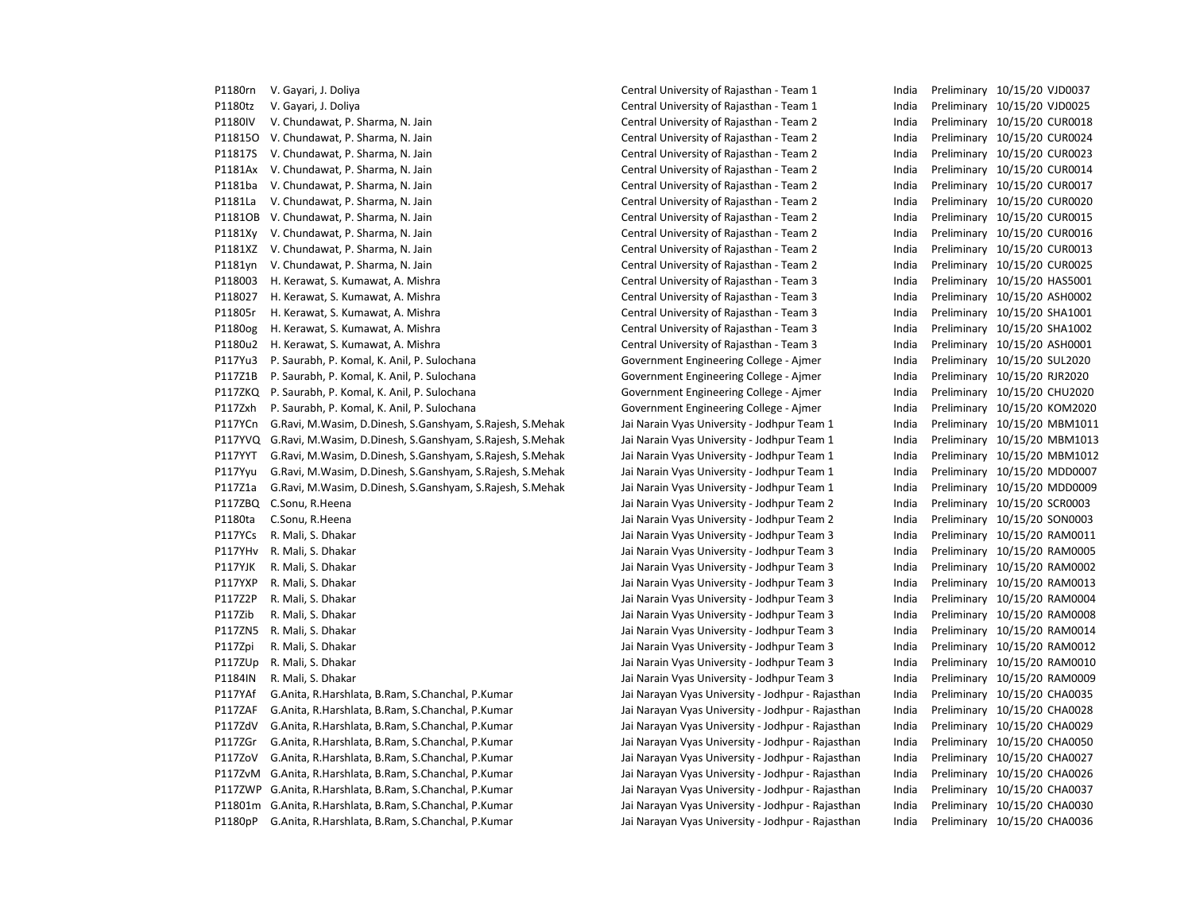P1180rn V. Gayari, J. Doliya Central Central University of Rajasthan - Team 1 India Preliminary 10/15/20 VJD0037 P1180tz V. Gayari, J. Doliya Central University of Rajasthan - Team 1 India Preliminary 10/15/20 VJD0025 P1180IV V. Chundawat, P. Sharma, N. Jain Central University of Rajasthan - Team 2 India Preliminary 10/15/20 CUR0018 P11815O V. Chundawat, P. Sharma, N. Jain Central University of Rajasthan - Team 2 India Preliminary 10/15/20 CUR0024 P11817S V. Chundawat, P. Sharma, N. Jain Central University of Rajasthan - Team 2 India Preliminary 10/15/20 CUR0023 P1181Ax V. Chundawat, P. Sharma, N. Jain Central University of Rajasthan - Team 2 India Preliminary 10/15/20 CUR0014 P1181ba V. Chundawat, P. Sharma, N. Jain Central University of Rajasthan - Team 2 India Preliminary 10/15/20 CUR0017 P1181La V. Chundawat, P. Sharma, N. Jain Central University of Rajasthan - Team 2 India Preliminary 10/15/20 CUR0020 P1181OB V. Chundawat, P. Sharma, N. Jain Central University of Rajasthan - Team 2 India Preliminary 10/15/20 CUR0015 P1181Xy V. Chundawat, P. Sharma, N. Jain Central University of Rajasthan - Team 2 India Preliminary 10/15/20 CUR0016 P1181XZ V. Chundawat, P. Sharma, N. Jain Central University of Rajasthan - Team 2 India Preliminary 10/15/20 CUR0013 P1181yn V. Chundawat, P. Sharma, N. Jain Central University of Rajasthan - Team 2 India Preliminary 10/15/20 CUR0025 P118003 H. Kerawat, S. Kumawat, A. Mishra Central Central University of Rajasthan - Team 3 India Preliminary 10/15/20 HAS5001 P118027 H. Kerawat, S. Kumawat, A. Mishra Central University of Rajasthan - Team 3 India Preliminary 10/15/20 ASH0002 P11805r H. Kerawat, S. Kumawat, A. Mishra Central University of Rajasthan - Team 3 India Preliminary 10/15/20 SHA1001 P1180og H. Kerawat, S. Kumawat, A. Mishra Central University of Rajasthan - Team 3 India Preliminary 10/15/20 SHA1002 P1180u2 H. Kerawat, S. Kumawat, A. Mishra Central University of Rajasthan - Team 3 India Preliminary 10/15/20 ASH0001 P117Yu3 P. Saurabh, P. Komal, K. Anil, P. Sulochana Samus Covernment Engineering College - Ajmer India Preliminary 10/15/20 SUL2020 P117Z1B P. Saurabh, P. Komal, K. Anil, P. Sulochana Covernment Engineering College - Ajmer India Preliminary 10/15/20 RJR2020 P117ZKQ P. Saurabh, P. Komal, K. Anil, P. Sulochana entertaine a subsection of Government Engineering College - Ajmer andia Preliminary 10/15/20 CHU2020 P117Zxh P. Saurabh, P. Komal, K. Anil, P. Sulochana Government Engineering College - Ajmer India Preliminary 10/15/20 KOM2020 P117YCn G.Ravi, M.Wasim, D.Dinesh, S.Ganshyam, S.Rajesh, S.Mehak Jai Narain Vyas University - Jodhpur Team 1 India Preliminary 10/15/20 MBM1011 P117YVQ G.Ravi, M.Wasim, D.Dinesh, S.Ganshyam, S.Rajesh, S.Mehak Jai Narain Vyas University - Jodhpur Team 1 India Preliminary 10/15/20 MBM1013 P117YYT G.Ravi, M.Wasim, D.Dinesh, S.Ganshyam, S.Rajesh, S.Mehak Jai Narain Vyas University - Jodhpur Team 1 India Preliminary 10/15/20 MBM1012 P117Yyu G.Ravi, M.Wasim, D.Dinesh, S.Ganshyam, S.Rajesh, S.Mehak Jai Narain Vyas University - Jodhpur Team 1 India Preliminary 10/15/20 MDD0007 P117Z1a G.Ravi, M.Wasim, D.Dinesh, S.Ganshyam, S.Rajesh, S.Mehak Jai Narain Vyas University - Jodhpur Team 1 India Preliminary 10/15/20 MDD0009 P117ZBQ C.Sonu, R.Heena Jai Narain Vyas University - Jodhpur Team 2 India Preliminary 10/15/20 SCR0003 P1180ta C.Sonu, R.Heena Jai Narain Vyas University - Jodhpur Team 2 India Preliminary 10/15/20 SON0003 P117YCs R. Mali, S. Dhakar Narain Vyas University - Jai Narain Vyas University - Jodhpur Team 3 India Preliminary 10/15/20 RAM0011 P117YHv R. Mali, S. Dhakar Narain Vyas University - Jodhpur Team 3 India Preliminary 10/15/20 RAM0005 P117YJK R. Mali, S. Dhakar Narain Vyas University - Jodhpur Team 3 India Preliminary 10/15/20 RAM0002 P117YXP R. Mali, S. Dhakar Jai Narain Vyas University - Jodhpur Team 3 India Preliminary 10/15/20 RAM0013 P117Z2P R. Mali, S. Dhakar Narain Vyas University - Jai Narain Vyas University - Jodhpur Team 3 India Preliminary 10/15/20 RAM0004 P117Zib R. Mali, S. Dhakar Naray 10/15/20 RAM0008 Jai Narain Vyas University - Jodhpur Team 3 India Preliminary 10/15/20 RAM0008 P117ZN5 R. Mali, S. Dhakar Naray 10/15/20 RAM0014 Jai Narain Vyas University - Jodhpur Team 3 India Preliminary 10/15/20 RAM0014 P117Zpi R. Mali, S. Dhakar Narain Vyas University - Jodhpur Team 3 India Preliminary 10/15/20 RAM0012 P117ZUp R. Mali, S. Dhakar Jai Narain Vyas University - Jodhpur Team 3 India Preliminary 10/15/20 RAM0010 P1184IN R. Mali, S. Dhakar Jai Narain Vyas University - Jodhpur Team 3 India Preliminary 10/15/20 RAM0009 P117YAf G.Anita, R.Harshlata, B.Ram, S.Chanchal, P.Kumar Jai Narayan Vyas University - Jodhpur - Rajasthan India Preliminary 10/15/20 CHA0035 P117ZAF G.Anita, R.Harshlata, B.Ram, S.Chanchal, P.Kumar Jai Narayan Vyas University - Jodhpur - Rajasthan India Preliminary 10/15/20 CHA0028 P117ZdV G.Anita, R.Harshlata, B.Ram, S.Chanchal, P.Kumar Jai Narayan Vyas University - Jodhpur - Rajasthan India Preliminary 10/15/20 CHA0029 P117ZGr G.Anita, R.Harshlata, B.Ram, S.Chanchal, P.Kumar Jai Narayan Vyas University - Jodhpur - Rajasthan India Preliminary 10/15/20 CHA0050 P117ZoV G.Anita, R.Harshlata, B.Ram, S.Chanchal, P.Kumar Jai Narayan Vyas University - Jodhpur - Rajasthan India Preliminary 10/15/20 CHA0027 P117ZvM G.Anita, R.Harshlata, B.Ram, S.Chanchal, P.Kumar Jai Narayan Vyas University - Jodhpur - Rajasthan India Preliminary 10/15/20 CHA0026 P117ZWP G.Anita, R.Harshlata, B.Ram, S.Chanchal, P.Kumar Jai Narayan Vyas University - Jodhpur - Rajasthan India Preliminary 10/15/20 CHA0037 P11801m G.Anita, R.Harshlata, B.Ram, S.Chanchal, P.Kumar Jai Narayan Vyas University - Jodhpur - Rajasthan India Preliminary 10/15/20 CHA0030 P1180pP G.Anita, R.Harshlata, B.Ram, S.Chanchal, P.Kumar Jai Narayan Vyas University - Jodhpur - Rajasthan India Preliminary 10/15/20 CHA0036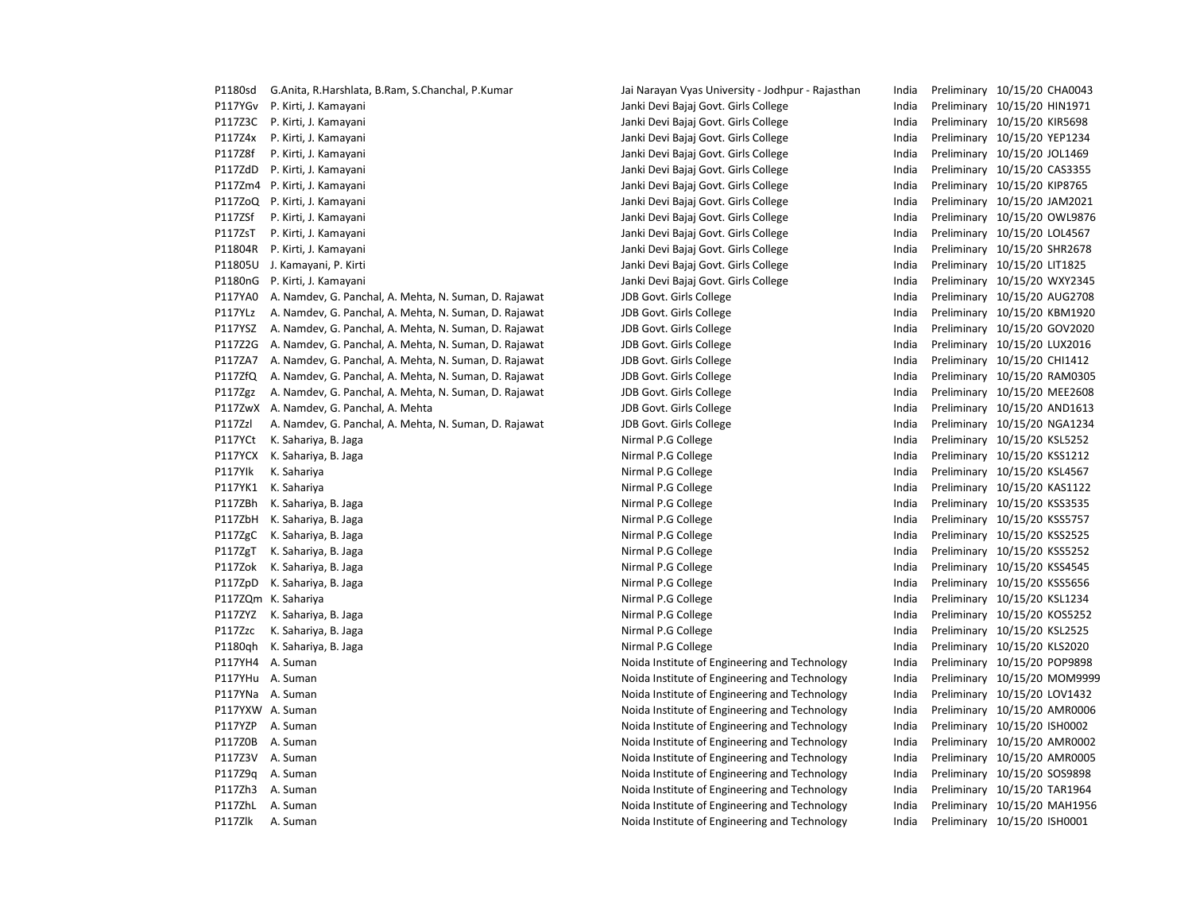| PII8USQ | G.Anita, R.Harshiata, B.Ram, S.Chanchai, P.Kumar    |
|---------|-----------------------------------------------------|
| P117YGv | P. Kirti, J. Kamayani                               |
| P117Z3C | P. Kirti, J. Kamayani                               |
| P117Z4x | P. Kirti, J. Kamayani                               |
| P117Z8f | P. Kirti, J. Kamayani                               |
| P117ZdD | P. Kirti, J. Kamayani                               |
| P117Zm4 | P. Kirti, J. Kamayani                               |
| P117ZoQ | P. Kirti, J. Kamayani                               |
| P117ZSf | P. Kirti, J. Kamayani                               |
| P117ZsT | P. Kirti, J. Kamayani                               |
| P11804R | P. Kirti, J. Kamayani                               |
| P11805U | J. Kamayani, P. Kirti                               |
| P1180nG | P. Kirti, J. Kamayani                               |
| P117YA0 | A. Namdev, G. Panchal, A. Mehta, N. Suman, D. Rajaw |
| P117YLz | A. Namdev, G. Panchal, A. Mehta, N. Suman, D. Rajaw |
| P117YSZ | A. Namdev, G. Panchal, A. Mehta, N. Suman, D. Rajaw |
| P117Z2G | A. Namdev, G. Panchal, A. Mehta, N. Suman, D. Rajaw |
| P117ZA7 | A. Namdev, G. Panchal, A. Mehta, N. Suman, D. Rajaw |
| P117ZfQ | A. Namdev, G. Panchal, A. Mehta, N. Suman, D. Rajaw |
| P117Zgz | A. Namdev, G. Panchal, A. Mehta, N. Suman, D. Rajaw |
| P117ZwX | A. Namdev, G. Panchal, A. Mehta                     |
| P117Zzl | A. Namdev, G. Panchal, A. Mehta, N. Suman, D. Rajaw |
| P117YCt | K. Sahariya, B. Jaga                                |
| P117YCX | K. Sahariya, B. Jaga                                |
| P117Ylk | K. Sahariya                                         |
| P117YK1 | K. Sahariya                                         |
| P117ZBh | K. Sahariya, B. Jaga                                |
| P117ZbH | K. Sahariya, B. Jaga                                |
| P117ZgC | K. Sahariya, B. Jaga                                |
| P117ZgT | K. Sahariya, B. Jaga                                |
| P117Zok | K. Sahariya, B. Jaga                                |
| P117ZpD | K. Sahariya, B. Jaga                                |
| P117ZQm | K. Sahariya                                         |
| P117ZYZ | K. Sahariya, B. Jaga                                |
| P117Zzc | K. Sahariya, B. Jaga                                |
| P1180qh | K. Sahariya, B. Jaga                                |
| P117YH4 | A. Suman                                            |
| P117YHu | A. Suman                                            |
| P117YNa | A. Suman                                            |
| P117YXW | A. Suman                                            |
| P117YZP | A. Suman                                            |
| P117Z0B | A. Suman                                            |
| P117Z3V | A. Suman                                            |
| P117Z9q | A. Suman                                            |
| P117Zh3 | A. Suman                                            |
| P117ZhL | A. Suman                                            |
|         |                                                     |

P1180sd G.Anita, R.Harshlata, B.Ram, S.Chanchal, P.Kumar Jai Narayan Vyas University - Jodhpur - Rajasthan India Preliminary 10/15/20 CHA0043 Janki Devi Bajaj Govt. Girls College India Preliminary 10/15/20 HIN1971 Janki Devi Bajaj Govt. Girls College India Preliminary 10/15/20 KIR5698 Janki Devi Bajaj Govt. Girls College India Preliminary 10/15/20 YEP1234 Janki Devi Bajaj Govt. Girls College India Preliminary 10/15/20 JOL1469 Janki Devi Bajaj Govt. Girls College India Preliminary 10/15/20 CAS3355 Janki Devi Bajaj Govt. Girls College India Preliminary 10/15/20 KIP8765 Janki Devi Bajaj Govt. Girls College India Preliminary 10/15/20 JAM2021 Janki Devi Bajaj Govt. Girls College India Preliminary 10/15/20 OWL9876 Janki Devi Bajaj Govt. Girls College India Preliminary 10/15/20 LOL4567 Janki Devi Bajaj Govt. Girls College India Preliminary 10/15/20 SHR2678 Janki Devi Bajaj Govt. Girls College India Preliminary 10/15/20 LIT1825 Janki Devi Bajaj Govt. Girls College India Preliminary 10/15/20 WXY2345 PH17TA0 A. A. A. A. Mehriman, A. Mehriman, India Preliminary 10/15/20 AUG2708 Pat The State of the Southeast A. Mehral, A. Mehral, A. Suman, 2015/20 India Preliminary 10/15/20 KBM1920 Pat The State of the Southeast A. Mehral, A. Mehral, A. Suman, 2015/20 GOV2020 GOV2020 P117 Vat College A. A. Mehta, IDB Govt. Girls College India Preliminary 10/15/20 LUX2016 PH17 A. T. Panchal, A. Mehriman, A. Mehriman, D. Rajawat J. P. P. Suman, D. Rajawat J. Rajawat J. Rajawat J. R P<sub>11</sub> The Sect A. Girls College India Preliminary 10/15/20 RAM0305 PH217 Transform of the Southeast A. Mehran, A. Suman, D. Rajawat July 10/15/20 MEE2608 JDB Govt. Girls College The College India Preliminary 10/15/20 AND1613 Put A. Names are parameters and A. Mehran, A. Suman, D. Rajawat J. Rajawat J. Rajawat J. Rajawat J. Rajawat J. R Phirmal P.G College **India Religious College India Preliminary 10/15/20 KSL5252** Nirmal P.G College **India Preliminary 10/15/20 KSS1212** Phirmal P.G College India Preliminary 10/15/20 KSL4567 Nirmal P.G College India Preliminary 10/15/20 KAS1122 Nirmal P.G College **India Preliminary 10/15/20 KSS3535** Patronal P.G College The College India Preliminary 10/15/20 KSS5757 Phirmal P.G College **India Religionary 10/15/20 KSS2525** Nirmal P.G College **India Preliminary 10/15/20 KSS5252** Nirmal P.G College **India Preliminary 10/15/20 KSS4545** Phirmal P.G College **India Preliminary 10/15/20 KSS5656** P.G College India Preliminary 10/15/20 KSL1234 Nirmal P.G College **India Preliminary 10/15/20 KOS5252** Nirmal P.G College **India Preliminary 10/15/20 KSL2525** P1180qh K. Sahariya, B. Sahariya, B. Sahariya, B. Sahariya, B. Jaga Nirmal P.G College India Preliminary 10/15/20 KLS2020 Noida Institute of Engineering and Technology India Preliminary 10/15/20 POP9898 Noida Institute of Engineering and Technology India Preliminary 10/15/20 MOM9999 Noida Institute of Engineering and Technology India Preliminary 10/15/20 LOV1432 Noida Institute of Engineering and Technology **India Preliminary 10/15/20 AMR0006** Noida Institute of Engineering and Technology India Preliminary 10/15/20 ISH0002 Noida Institute of Engineering and Technology India Preliminary 10/15/20 AMR0002 Noida Institute of Engineering and Technology India Preliminary 10/15/20 AMR0005 Noida Institute of Engineering and Technology India Preliminary 10/15/20 SOS9898 Noida Institute of Engineering and Technology India Preliminary 10/15/20 TAR1964 Noida Institute of Engineering and Technology India Preliminary 10/15/20 MAH1956

P117Zlk A. Suman Suman Suman Noida Institute of Engineering and Technology India Preliminary 10/15/20 ISH0001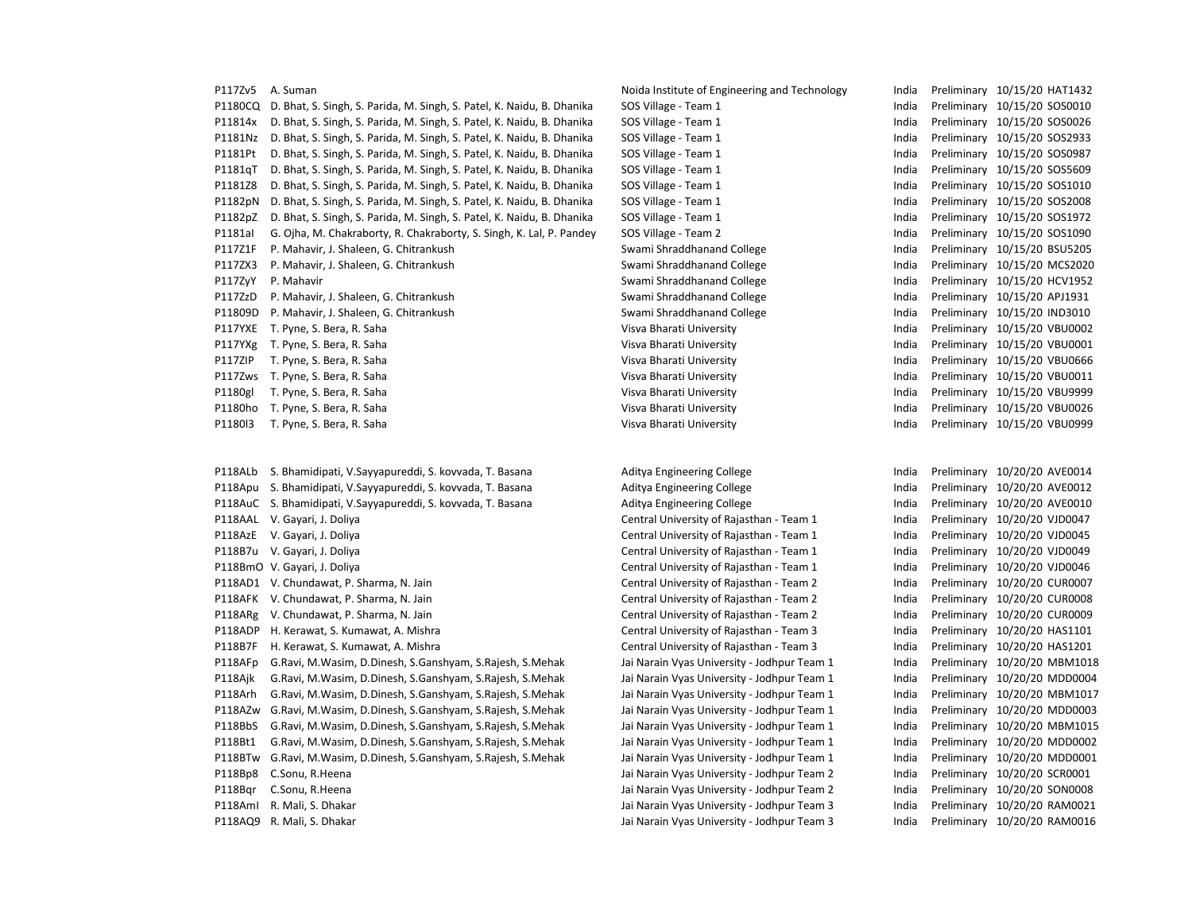## P117Zv5 A. Suman Suman Suman Noida Institute of Engineering and Technology India Preliminary 10/15/20 HAT1432 P1180CQ D. Bhat, S. Singh, S. Parida, M. Singh, S. Patel, K. Naidu, B. Dhanika SOS Village - Team 1 India Preliminary 10/15/20 SOS0010 P11814x D. Bhat, S. Singh, S. Parida, M. Singh, S. Patel, K. Naidu, B. Dhanika SOS Village - Team 1 India Preliminary 10/15/20 SOS0026 P1181Nz D. Bhat, S. Singh, S. Parida, M. Singh, S. Patel, K. Naidu, B. Dhanika SOS Village - Team 1 India Preliminary 10/15/20 SOS2933 P1181Pt D. Bhat, S. Singh, S. Parida, M. Singh, S. Patel, K. Naidu, B. Dhanika SOS Village - Team 1 India Preliminary 10/15/20 SOS0987 P1181qT D. Bhat, S. Singh, S. Parida, M. Singh, S. Patel, K. Naidu, B. Dhanika SOS Village - Team 1 India Preliminary 10/15/20 SOS5609 P1181Z8 D. Bhat, S. Singh, S. Parida, M. Singh, S. Patel, K. Naidu, B. Dhanika SOS Village - Team 1 India Preliminary 10/15/20 SOS1010 P1182pN D. Bhat, S. Singh, S. Parida, M. Singh, S. Patel, K. Naidu, B. Dhanika SOS Village - Team 1 India Preliminary 10/15/20 SOS2008 P1182pZ D. Bhat, S. Singh, S. Parida, M. Singh, S. Patel, K. Naidu, B. Dhanika SOS Village - Team 1 India Preliminary 10/15/20 SOS1972 P1181aI G. Oiha, M. Chakraborty, R. Chakraborty, S. Singh, K. Lal, P. Pandey SOS Village - Team 2 India Preliminary 10/15/20 SOS1090 P117Z1F P. Mahavir, J. Shaleen, G. Chitrankush Swami Shraddhanand College Swami Shraddhanand College Submaning Swami Shraddhanand College Submaning Preliminary 10/15/20 BSU5205 P117ZX3 P. Mahavir, J. Shaleen, G. Chitrankush Swami Shraddhanand College India Preliminary 10/15/20 MCS2020 P117ZyY P. Mahavir Swami Shraddhanand College India Preliminary 10/15/20 HCV1952 P117ZzD P. Mahavir, J. Shaleen, G. Chitrankush Swami Shraddhanand College Superina Preliminary 10/15/20 APJ1931 P11809D P. Mahavir, J. Shaleen, G. Chitrankush Swami Shraddhanand College India Preliminary 10/15/20 IND3010 P117YXE T. Pyne, S. Bera, R. Saha Visva Bharati University Visva Bharati University Visva Bharati University Visva Bharati University Visva Bharati University Visva Bharati University Visva Bharati University Visva Bharati P117YXg T. Pyne, S. Bera, R. Saha Visva Bharati University Visva Bharati University Physics and Reliminary 10/15/20 VBU0001 P117ZIP T. Pyne, S. Bera, R. Saha Visva Bharati University Visva Bharati University Visva Bharati University Visva Bharati University Visva Bharati University Visva Bharati University Visva Bharati University Visva Bharati P117Zws T. Pyne, S. Bera, R. Saha Visva Bharati University Visva Bharati University Pharati University Pharati University Visva Bharati University Pharati University Pharati University Pharati University Pharati University P1180gl T. Pyne, S. Bera, R. Saha Visva Bharati University Visva Bharati University Physics and the University Changes and the Visva Bharati University Visva Bharati University Physics and the Preliminary 10/15/20 VBU9999 P1180ho T. Pyne, S. Bera, R. Saha Visva Visva Bharati University Visva Bharati University Visva Democrati University Visva Bharati University Visva Bharati University Visva Bharati University Visva Bharati University Visva P1180l3 T. Pyne, S. Bera, R. Saha Visva District And Visva Bharati University India Preliminary 10/15/20 VBU0999

P118ALb S. Bhamidipati, V.Sayyapureddi, S. kovvada, T. Basana Aditya Engineering College Press and Aditya Engineering College India Preliminary 10/20/20 AVE0014 P118Apu S. Bhamidipati, V.Sayyapureddi, S. kovvada, T. Basana Aditya Engineering College Preliminary 10/20/20 AVE0012 P118AuC S. Bhamidipati, V.Sayyapureddi, S. kovvada, T. Basana Aditya Engineering College Preliminary 10/20/20 AVE0010 P118AAL V. Gayari, J. Doliya Central University of Rajasthan - Team 1 India Preliminary 10/20/20 VJD0047 P118AzE V. Gayari, J. Doliya Central University of Rajasthan - Team 1 India Preliminary 10/20/20 VJD0045 P118B7u V. Gayari, J. Doliya Central University of Rajasthan - Team 1 India Preliminary 10/20/20 VJD0049 P118BmO V. Gayari, J. Doliya Central Central University of Rajasthan - Team 1 India Preliminary 10/20/20 VJD0046 P118AD1 V. Chundawat, P. Sharma, N. Jain Central University of Rajasthan - Team 2 India Preliminary 10/20/20 CUR0007 P118AFK V. Chundawat, P. Sharma, N. Jain Central University of Rajasthan - Team 2 India Preliminary 10/20/20 CUR0008 P118ARg V. Chundawat, P. Sharma, N. Jain Central University of Rajasthan - Team 2 India Preliminary 10/20/20 CUR0009 P118ADP H. Kerawat, S. Kumawat, A. Mishra Central Central University of Rajasthan - Team 3 India Preliminary 10/20/20 HAS1101 P118B7F H. Kerawat, S. Kumawat, A. Mishra Central University of Rajasthan - Team 3 India Preliminary 10/20/20 HAS1201 P118AFp G.Ravi, M.Wasim, D.Dinesh, S.Ganshyam, S.Rajesh, S.Mehak Jai Narain Vyas University - Jodhpur Team 1 India Preliminary 10/20/20 MBM1018 P118Ajk G.Ravi, M.Wasim, D.Dinesh, S.Ganshyam, S.Rajesh, S.Mehak Jai Narain Vyas University - Jodhpur Team 1 India Preliminary 10/20/20 MDD0004 P118Arh G.Ravi, M.Wasim, D.Dinesh, S.Ganshyam, S.Rajesh, S.Mehak Jai Narain Vyas University - Jodhpur Team 1 India Preliminary 10/20/20 MBM1017 P118AZw G.Ravi, M.Wasim, D.Dinesh, S.Ganshyam, S.Rajesh, S.Mehak Jai Narain Vyas University - Jodhpur Team 1 India Preliminary 10/20/20 MDD0003 P118BbS G.Ravi, M.Wasim, D.Dinesh, S.Ganshyam, S.Rajesh, S.Mehak Jai Narain Vyas University - Jodhpur Team 1 India Preliminary 10/20/20 MBM1015 P118Bt1 G.Ravi, M.Wasim, D.Dinesh, S.Ganshyam, S.Rajesh, S.Mehak Jai Narain Vyas University - Jodhpur Team 1 India Preliminary 10/20/20 MDD0002 P118BTw G.Ravi, M.Wasim, D.Dinesh, S.Ganshyam, S.Rajesh, S.Mehak Jai Narain Vyas University - Jodhpur Team 1 India Preliminary 10/20/20 MDD0001 P118Bp8 C.Sonu, R.Heena Jai Narain Vyas University - Jodhpur Team 2 India Preliminary 10/20/20 SCR0001 P118Bqr C.Sonu, R.Heena Jai Narain Vyas University - Jodhpur Team 2 India Preliminary 10/20/20 SON0008 P118AmI R. Mali, S. Dhakar Jai Narain Vyas University - Jodhpur Team 3 India Preliminary 10/20/20 RAM0021 P118AQ9 R. Mali, S. Dhakar Narain Vyas University - Jodhpur Team 3 India Preliminary 10/20/20 RAM0016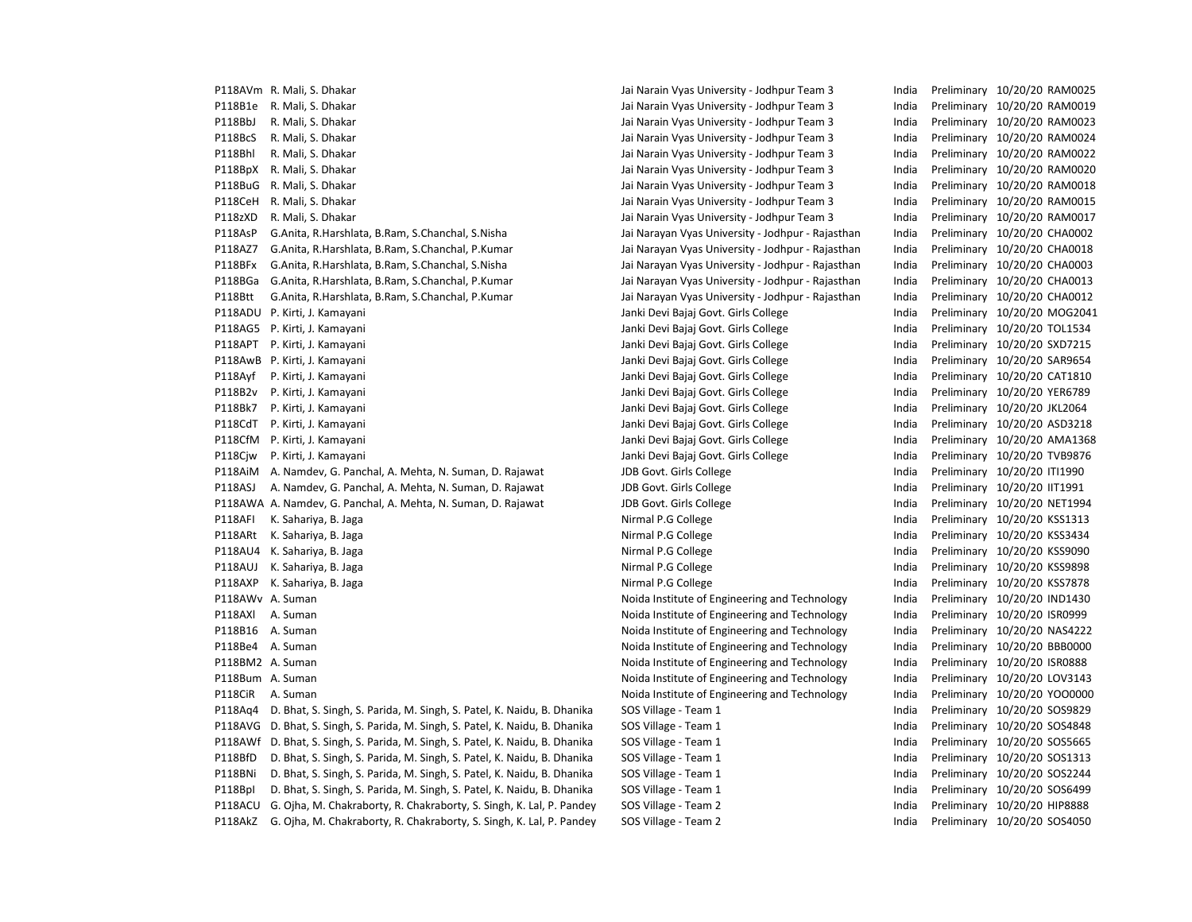P118AVm R. Mali, S. Dhakar Jai Narain Vyas University - Jodhpur Team 3 India Preliminary 10/20/20 RAM0025 P118B1e R. Mali, S. Dhakar Naray 10/20/20 RAM0019 Jai Narain Vyas University - Jodhpur Team 3 India Preliminary 10/20/20 RAM0019 P118BbJ R. Mali, S. Dhakar Jai Narain Vyas University - Jodhpur Team 3 India Preliminary 10/20/20 RAM0023 P118BcS R. Mali, S. Dhakar Naray 10/20/20 RAM0024 Jai Narain Vyas University - Jodhpur Team 3 India Preliminary 10/20/20 RAM0024 P118Bhl R. Mali, S. Dhakar Jai Narain Vyas University - Jodhpur Team 3 India Preliminary 10/20/20 RAM0022 P118BpX R. Mali, S. Dhakar Jai Narain Vyas University - Jodhpur Team 3 India Preliminary 10/20/20 RAM0020 P118BuG R. Mali, S. Dhakar Narain Vyas University - Jodhpur Team 3 India Preliminary 10/20/20 RAM0018 P118CeH R. Mali, S. Dhakar Jai Narain Vyas University - Jodhpur Team 3 India Preliminary 10/20/20 RAM0015 P118zXD R. Mali, S. Dhakar Narain Vyas University - Jai Narain Vyas University - Jodhpur Team 3 India Preliminary 10/20/20 RAM0017 P118AsP G.Anita, R.Harshlata, B.Ram, S.Chanchal, S.Nisha Jai Narayan Vyas University - Jodhpur - Rajasthan India Preliminary 10/20/20 CHA0002 P118AZ7 G.Anita, R.Harshlata, B.Ram, S.Chanchal, P.Kumar Jai Narayan Vyas University - Jodhpur - Rajasthan India Preliminary 10/20/20 CHA0018 P118BFx G.Anita, R.Harshlata, B.Ram, S.Chanchal, S.Nisha Jai Narayan Vyas University - Jodhpur - Rajasthan India Preliminary 10/20/20 CHA0003 P118BGa G.Anita, R.Harshlata, B.Ram, S.Chanchal, P.Kumar Jai Narayan Vyas University - Jodhpur - Rajasthan India Preliminary 10/20/20 CHA0013 P118Btt G.Anita, R.Harshlata, B.Ram, S.Chanchal, P.Kumar Jai Narayan Vyas University - Jodhpur - Rajasthan India Preliminary 10/20/20 CHA0012 P118ADU P. Kirti, J. Kamayani **Manayani Amaza ya kama ya kati ya kuwa** Janki Devi Bajaj Govt. Girls College **India Preliminary 10/20/20 MOG2041** P118AG5 P. Kirti, J. Kamayani **Janki Devi Bajaj Govt. Girls College** Preliminary 10/20/20 TOL1534 P118APT P. Kirti, J. Kamayani **India Preliminary 10/20/20 SXD7215** Janki Devi Bajaj Govt. Girls College **India Preliminary 10/20/20 SXD7215** P118AwB P. Kirti, J. Kamayani **Marki Devi Bayat Americ Devi Bajaj Govt. Girls College** India Preliminary 10/20/20 SAR9654 P118Ayf P. Kirti, J. Kamayani **Janki Devi Bajaj Govt. Girls College** Preliminary 10/20/20 CAT1810 P118B2v P. Kirti, J. Kamayani Namayani Janki Devi Bajaj Govt. Girls College Sanki Devi Bajaj Govt. Girls College P118Bk7 P. Kirti, J. Kamayani Janki Devi Bajaj Govt. Girls College India Preliminary 10/20/20 JKL2064 P118CdT P. Kirti, J. Kamayani **Vanki Devi Bajaj Govt. Girls College** India Preliminary 10/20/20 ASD3218 P118CfM P. Kirti, J. Kamayani **Manayani Amaza ya kuwa kati ya kuwa kuwa** Janki Devi Bajaj Govt. Girls College **India Preliminary 10/20/20 AMA1368** P118Cjw P. Kirti, J. Kamayani **Magambarata Sharki Devi Bajaj Govt. Girls College** India Preliminary 10/20/20 TVB9876 P118AiM A. Namdev, G. Panchal, A. Mehta, N. Suman, D. Rajawat JDB Govt. Girls College Same India Preliminary 10/20/20 ITI1990 P118ASJ A. Namdev, G. Panchal, A. Mehta, N. Suman, D. Rajawat JDB Govt. Girls College India Preliminary 10/20/20 IIT1991 P118AWA A. Namdev, G. Panchal, A. Mehta, N. Suman, D. Rajawat JDB Govt. Girls College India Preliminary 10/20/20 NET1994 P118AFI K. Sahariya, B. Jaga Nirmal P.G College India Preliminary 10/20/20 KSS1313 P118ARt K. Sahariya, B. Jaga Nirmal P.G College San Animal P.G College Preliminary 10/20/20 KSS3434 P118AU4 K. Sahariya, B. Jaga Nirmal P.G College Nirmal P.G College Nirmal P.G College Preliminary 10/20/20 KSS9090 P118AUJ K. Sahariya, B. Jaga Nirmal P.G College Nirmal P.G College College Preliminary 10/20/20 KSS9898 P118AXP K. Sahariya, B. Jaga Nirmal P.G College Nirmal P.G College States and the States of Preliminary 10/20/20 KSS7878 P118AWv A. Suman Suman Noida Institute of Engineering and Technology India Preliminary 10/20/20 IND1430 P118AXl A. Suman Suman Noida Institute of Engineering and Technology India Preliminary 10/20/20 ISR0999 P118B16 A. Suman Suman Suman Noida Institute of Engineering and Technology India Preliminary 10/20/20 NAS4222 P118Be4 A. Suman Suman Suman Noida Institute of Engineering and Technology India Preliminary 10/20/20 BBB0000 P118BM2 A. Suman Suman Noida Institute of Engineering and Technology India Preliminary 10/20/20 ISR0888 P118Bum A. Suman Suman Suman Noida Institute of Engineering and Technology India Preliminary 10/20/20 LOV3143 P118CiR A. Suman Noida Institute of Engineering and Technology India Preliminary 10/20/20 YOO0000 P118Aq4 D. Bhat, S. Singh, S. Parida, M. Singh, S. Patel, K. Naidu, B. Dhanika SOS Village - Team 1 Freem 1 and a Preliminary 10/20/20 SOS9829 P118AVG D. Bhat, S. Singh, S. Parida, M. Singh, S. Patel, K. Naidu, B. Dhanika SOS Village - Team 1 India Preliminary 10/20/20 SOS4848 P118AWf D. Bhat, S. Singh, S. Parida, M. Singh, S. Patel, K. Naidu, B. Dhanika SOS Village - Team 1 India Preliminary 10/20/20 SOS5665 P118BfD D. Bhat, S. Singh, S. Parida, M. Singh, S. Patel, K. Naidu, B. Dhanika SOS Village - Team 1 India Preliminary 10/20/20 SOS1313 P118BNi D. Bhat, S. Singh, S. Parida, M. Singh, S. Patel, K. Naidu, B. Dhanika SOS Village - Team 1 India Preliminary 10/20/20 SOS2244 P118BpI D. Bhat, S. Singh, S. Parida, M. Singh, S. Patel, K. Naidu, B. Dhanika SOS Village - Team 1 India Preliminary 10/20/20 SOS6499 P118ACU G. Ojha, M. Chakraborty, R. Chakraborty, S. Singh, K. Lal, P. Pandey SOS Village - Team 2 India Preliminary 10/20/20 HIP8888 P118AkZ G. Ojha, M. Chakraborty, R. Chakraborty, S. Singh, K. Lal, P. Pandey SOS Village - Team 2 India Preliminary 10/20/20 SOS4050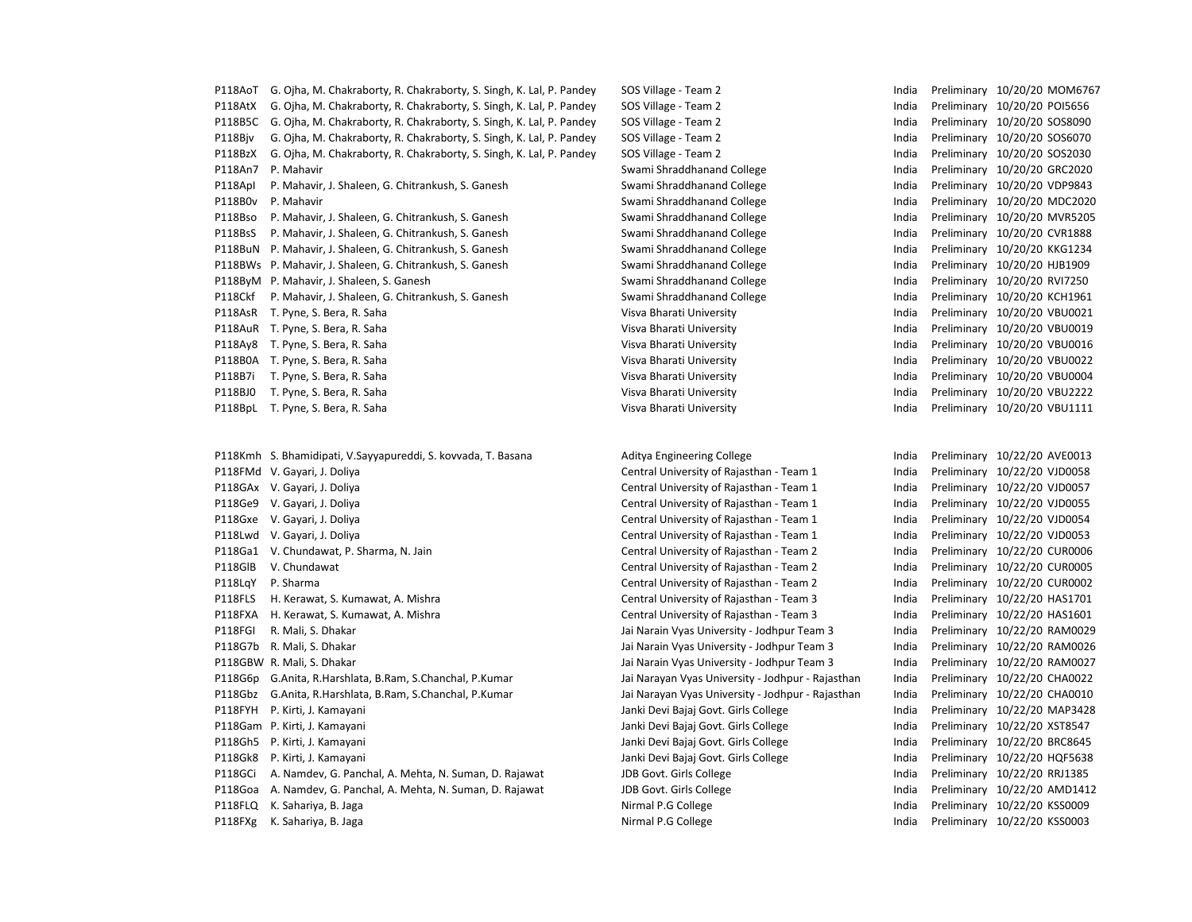P118AoT G. Ojha, M. Chakraborty, R. Chakraborty, S. Singh, K. Lal, P. Pandey SOS Village - Team 2 India Preliminary 10/20/20 MOM6767 P118AtX G. Ojha, M. Chakraborty, R. Chakraborty, S. Singh, K. Lal, P. Pandey SOS Village - Team 2 India Preliminary 10/20/20 POI5656 P118B5C G. Ojha, M. Chakraborty, R. Chakraborty, S. Singh, K. Lal, P. Pandey SOS Village - Team 2 India Preliminary 10/20/20 SOS8090 P118Bjv G. Ojha, M. Chakraborty, R. Chakraborty, S. Singh, K. Lal, P. Pandey SOS Village - Team 2 India Preliminary 10/20/20 SOS6070 P118BzX G. Ojha, M. Chakraborty, R. Chakraborty, S. Singh, K. Lal, P. Pandey SOS Village - Team 2 India Preliminary 10/20/20 SOS2030 P118An7 P. Mahavir Swami Shraddhanand College India Preliminary 10/20/20 GRC2020 P118ApI P. Mahavir, J. Shaleen, G. Chitrankush, S. Ganesh Swami Shraddhanand College India Preliminary 10/20/20 VDP9843 P118B0v P. Mahavir Swami Shraddhanand College India Preliminary 10/20/20 MDC2020 P118Bso P. Mahavir, J. Shaleen, G. Chitrankush, S. Ganesh Swami Shraddhanand College India Preliminary 10/20/20 MVR5205 P118BsS P. Mahavir, J. Shaleen, G. Chitrankush, S. Ganesh Swami Shraddhanand College India Preliminary 10/20/20 CVR1888 P118BuN P. Mahavir, J. Shaleen, G. Chitrankush, S. Ganesh Swami Shraddhanand College India Preliminary 10/20/20 KKG1234 P118BWs P. Mahavir, J. Shaleen, G. Chitrankush, S. Ganesh Swami Shraddhanand College India Preliminary 10/20/20 HJB1909 P118ByM P. Mahavir, J. Shaleen, S. Ganesh Swami Shraddhanand College Swami Shraddhanand College Swami Shraddhanand College Swami Shraddhanand College Swami Shraddhanand College Swami Shraddhanand College Swami Shraddhanand P118Ckf P. Mahavir, J. Shaleen, G. Chitrankush, S. Ganesh Swami Shraddhanand College India Preliminary 10/20/20 KCH1961 P118AsR T. Pyne, S. Bera, R. Saha Visva Disk visit visit visit visit visit visit visit visit visit visit visit v<br>Visva Bharati University India Preliminary 10/20/20 VBU0021 P118AuR T. Pyne, S. Bera, R. Saha Visva Bharati University Visva Bharati University Visva Bharati University Visva Diense and Musliminary 10/20/20 VBU0019 P118Ay8 T. Pyne, S. Bera, R. Saha Visva Bharati University Visva Bharati University Pharati University Pharati University Visva Bharati University Pharati University Pharati University Pharati University Pharati University P118B0A T. Pyne, S. Bera, R. Saha Visva Daman Visva Bharati University Visva Bharati University Parati Preliminary 10/20/20 VBU0022 P118B7i T. Pyne, S. Bera, R. Saha Visva Districts and Visva Bharati University India Preliminary 10/20/20 VBU0004 P118BJ0 T. Pyne, S. Bera, R. Saha Visva District And Visva Bharati University India Preliminary 10/20/20 VBU2222 P118BpL T. Pyne, S. Bera, R. Saha Visva Visva Bharati University Visva Bharati University P18Bpc The Maria Preliminary 10/20/20 VBU1111

P118Kmh S. Bhamidipati, V.Sayyapureddi, S. kovvada, T. Basana Aditya Engineering College Preliminary 10/22/20 AVE0013 P118FMd V. Gayari, J. Doliya Central Common Central University of Rajasthan - Team 1 India Preliminary 10/22/20 VJD0058 P118GAx V. Gayari, J. Doliya Central University of Rajasthan - Team 1 The India Preliminary 10/22/20 VJD0057 P118Ge9 V. Gayari, J. Doliya Central University of Rajasthan - Team 1 India Preliminary 10/22/20 VJD0055 P118Gxe V. Gayari, J. Doliya Central Central University of Rajasthan - Team 1 India Preliminary 10/22/20 VJD0054 P118Lwd V. Gayari, J. Doliya Central University of Rajasthan - Team 1 India Preliminary 10/22/20 VJD0053 P118Ga1 V. Chundawat, P. Sharma, N. Jain Central University of Rajasthan - Team 2 India Preliminary 10/22/20 CUR0006 P118GlB V. Chundawat Central University of Rajasthan - Team 2 India Preliminary 10/22/20 CUR0005 P118LqY P. Sharma Central University of Rajasthan - Team 2 India Preliminary 10/22/20 CUR0002 P118FLS H. Kerawat, S. Kumawat, A. Mishra Central Central University of Rajasthan - Team 3 India Preliminary 10/22/20 HAS1701 P118FXA H. Kerawat, S. Kumawat, A. Mishra Central Central University of Rajasthan - Team 3 India Preliminary 10/22/20 HAS1601 P118FGI R. Mali, S. Dhakar Narain Vyas University - Jodhpur Team 3 India Preliminary 10/22/20 RAM0029 P118G7b R. Mali, S. Dhakar Narain Vyas University - Jodhpur Team 3 India Preliminary 10/22/20 RAM0026 P118GBW R. Mali, S. Dhakar Jai Narain Vyas University - Jodhpur Team 3 India Preliminary 10/22/20 RAM0027 P118G6p G.Anita, R.Harshlata, B.Ram, S.Chanchal, P.Kumar Jai Narayan Vyas University - Jodhpur - Rajasthan India Preliminary 10/22/20 CHA0022 P118Gbz G.Anita, R.Harshlata, B.Ram, S.Chanchal, P.Kumar Jai Narayan Vyas University - Jodhpur - Rajasthan India Preliminary 10/22/20 CHA0010 P118FYH P. Kirti, J. Kamayani Janki Devi Bajaj Govt. Girls College India Preliminary 10/22/20 MAP3428 P118Gam P. Kirti, J. Kamayani **Marki Devi Bayat Aliki Devi Bajaj Govt. Girls College** India Preliminary 10/22/20 XST8547 P118Gh5 P. Kirti, J. Kamayani **Marki Devi Bayat Basaf Govt. Girls College India Preliminary 10/22/20 BRC8645** P118Gk8 P. Kirti, J. Kamayani Namayani Janki Devi Bajaj Govt. Girls College Particles India Preliminary 10/22/20 HQF5638 P118GCi A. Namdev, G. Panchal, A. Mehta, N. Suman, D. Rajawat JDB Govt. Girls College India Preliminary 10/22/20 RRJ1385 P118Goa A. Namdev, G. Panchal, A. Mehta, N. Suman, D. Rajawat JDB Govt. Girls College India Preliminary 10/22/20 AMD1412 P118FLQ K. Sahariya, B. Jaga Nirmal P.G College India Preliminary 10/22/20 KSS0009 P118FXg K. Sahariya, B. Jaga Nirmal P.G College India Preliminary 10/22/20 KSS0003